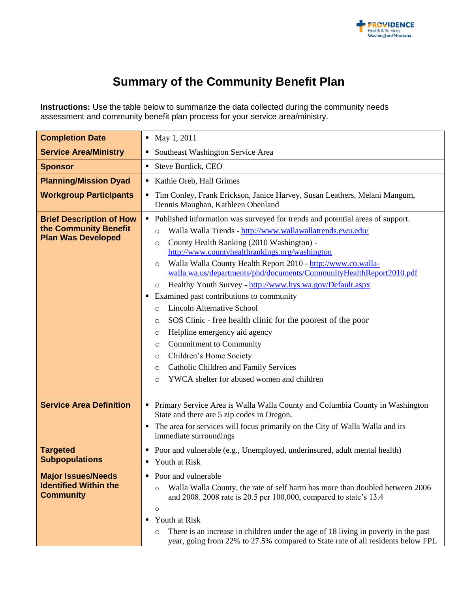

## **Summary of the Community Benefit Plan**

**Instructions:** Use the table below to summarize the data collected during the community needs assessment and community benefit plan process for your service area/ministry.

| <b>Completion Date</b>                                                                | • May 1, 2011                                                                                                                                                                                                                                                                                                                                                                                                                                                                                                                                                                                                                                                                                                                                                                                                                                                                              |
|---------------------------------------------------------------------------------------|--------------------------------------------------------------------------------------------------------------------------------------------------------------------------------------------------------------------------------------------------------------------------------------------------------------------------------------------------------------------------------------------------------------------------------------------------------------------------------------------------------------------------------------------------------------------------------------------------------------------------------------------------------------------------------------------------------------------------------------------------------------------------------------------------------------------------------------------------------------------------------------------|
| <b>Service Area/Ministry</b>                                                          | • Southeast Washington Service Area                                                                                                                                                                                                                                                                                                                                                                                                                                                                                                                                                                                                                                                                                                                                                                                                                                                        |
| <b>Sponsor</b>                                                                        | Steve Burdick, CEO                                                                                                                                                                                                                                                                                                                                                                                                                                                                                                                                                                                                                                                                                                                                                                                                                                                                         |
| <b>Planning/Mission Dyad</b>                                                          | Kathie Oreb, Hall Grimes                                                                                                                                                                                                                                                                                                                                                                                                                                                                                                                                                                                                                                                                                                                                                                                                                                                                   |
| <b>Workgroup Participants</b>                                                         | " Tim Conley, Frank Erickson, Janice Harvey, Susan Leathers, Melani Mangum,<br>Dennis Maughan, Kathleen Obenland                                                                                                                                                                                                                                                                                                                                                                                                                                                                                                                                                                                                                                                                                                                                                                           |
| <b>Brief Description of How</b><br>the Community Benefit<br><b>Plan Was Developed</b> | • Published information was surveyed for trends and potential areas of support.<br>Walla Walla Trends - http://www.wallawallatrends.ewu.edu/<br>$\circ$<br>County Health Ranking (2010 Washington) -<br>$\circ$<br>http://www.countyhealthrankings.org/washington<br>Walla Walla County Health Report 2010 - http://www.co.walla-<br>$\circ$<br>walla.wa.us/departments/phd/documents/CommunityHealthReport2010.pdf<br>Healthy Youth Survey - http://www.hys.wa.gov/Default.aspx<br>$\circ$<br>Examined past contributions to community<br>٠<br><b>Lincoln Alternative School</b><br>$\circ$<br>SOS Clinic - free health clinic for the poorest of the poor<br>O<br>Helpline emergency aid agency<br>O<br><b>Commitment to Community</b><br>$\circ$<br>Children's Home Society<br>O<br>Catholic Children and Family Services<br>O<br>YWCA shelter for abused women and children<br>$\circ$ |
| <b>Service Area Definition</b>                                                        | • Primary Service Area is Walla Walla County and Columbia County in Washington<br>State and there are 5 zip codes in Oregon.<br>The area for services will focus primarily on the City of Walla Walla and its<br>٠<br>immediate surroundings                                                                                                                                                                                                                                                                                                                                                                                                                                                                                                                                                                                                                                               |
| <b>Targeted</b><br><b>Subpopulations</b>                                              | • Poor and vulnerable (e.g., Unemployed, underinsured, adult mental health)<br><b>Youth at Risk</b><br>٠                                                                                                                                                                                                                                                                                                                                                                                                                                                                                                                                                                                                                                                                                                                                                                                   |
| <b>Major Issues/Needs</b><br><b>Identified Within the</b><br><b>Community</b>         | • Poor and vulnerable<br>Walla Walla County, the rate of self harm has more than doubled between 2006<br>$\circ$<br>and 2008. 2008 rate is 20.5 per 100,000, compared to state's 13.4<br>$\circ$<br>Youth at Risk<br>٠<br>There is an increase in children under the age of 18 living in poverty in the past<br>$\circ$<br>year, going from 22% to 27.5% compared to State rate of all residents below FPL                                                                                                                                                                                                                                                                                                                                                                                                                                                                                 |